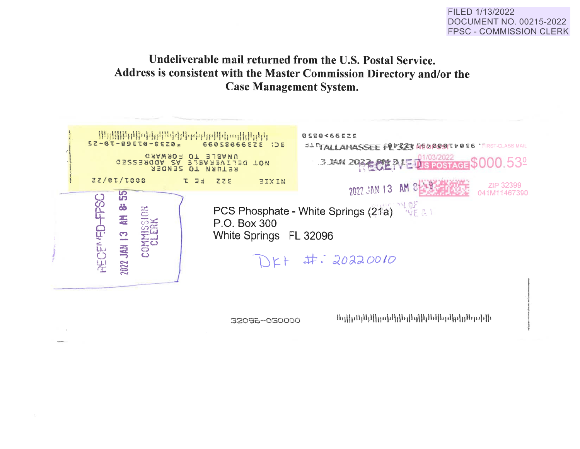### FILED 1/13/2022 **DOCUMENT NO. 00215-2022 FPSC - COMMISSION CLERK**

# Undeliverable mail returned from the U.S. Postal Service. Address is consistent with the Master Commission Directory and/or the **Case Management System.**



32096-030000

`Ուլ∏լռՈլՈլՈ[|լլռ]ւՈլ|իդ||իլՈւՈ|եյթՈրվդՈւթյի|ի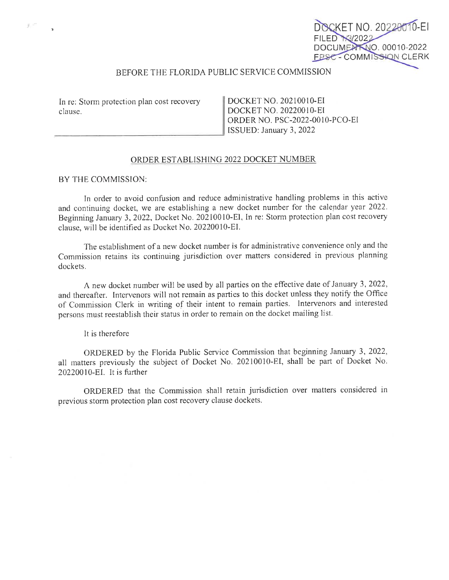## DOCUMENT NO. 00010-2022 **FPSC - COMMISSION CLERK**

FT NO. 20220010-EI

### BEFORE THE FLORIDA PUBLIC SERVICE COMMISSION

In re: Storm protection plan cost recovery clause.

-----------------

DOCKET NO. 20210010-EI DOCKET NO. 202200 I 0-EI ORDER NO. PSC-2022-0010-PCO-EI ISSUED: January 3, 2022

#### ORDER ESTABLISHING 2022 DOCKET NUMBER

 $-$ 

#### BY THE COMMISSION:

In order to avoid confusion and reduce administrative handling problems in this active and continuing docket, we are establishing a new docket number for the calepdar year 2022. Beginning January 3, 2022, Docket No. 20210010-EI, In re: Storm protection plan cost recovery clause, will be identified as Docket No. 20220010-EI.

The establishment of a new docket number is for administrative convenience only and the Commission retains its continuing jurisdiction over matters considered in previous planning dockets.

A new docket number *will* be used by all parties on the effective date of January 3, 2022, and thereafter. Intervenors will not remain as parties to this docket unless they notify the Office of Commission Clerk in writing of their intent to remain parties. Intervenors and interested persons must reestablish their status in order to remain on the docket mailing list.

It is therefore

ORDERED by the Florida Public Service Commission that beginning January 3, 2022, all matters previously the subject of Docket No. 20210010-EI, shall be part of Docket No. 20220010-EI. It is further

ORDERED that the Commission shall retain jurisdiction over matters considered in previous stonn protection plan cost recovery clause dockets.